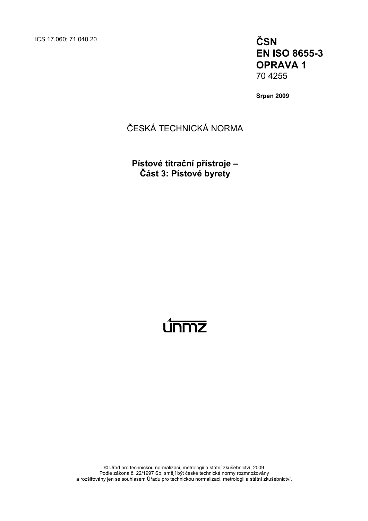ICS 17.060; 71.040.20 **ČSN** 

**EN ISO 8655-3 OPRAVA 1**  70 4255

**Srpen 2009** 

# ČESKÁ TECHNICKÁ NORMA

**Pístové titrační přístroje – Část 3: Pístové byrety** 

# <u>únmz</u>

© Úřad pro technickou normalizaci, metrologii a státní zkušebnictví, 2009 Podle zákona č. 22/1997 Sb. smějí být české technické normy rozmnožovány a rozšiřovány jen se souhlasem Úřadu pro technickou normalizaci, metrologii a státní zkušebnictví.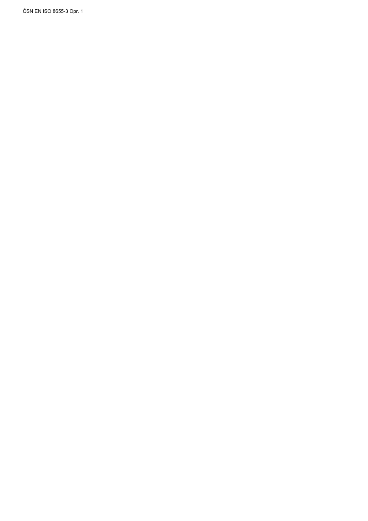ČSN EN ISO 8655-3 Opr. 1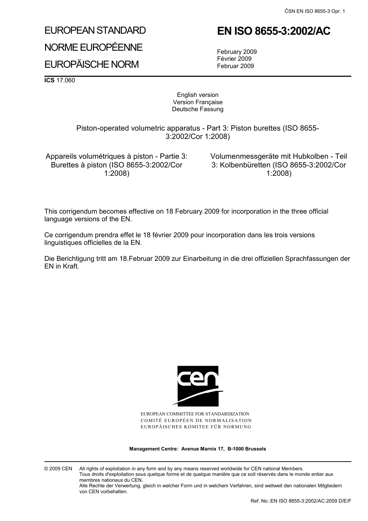# EUROPEAN STANDARD

# **EN ISO 8655-3:2002/AC**

NORME EUROPÉENNE

# EUROPÄISCHE NORM

 February 2009 Février 2009 Februar 2009

**ICS** 17.060

English version Version Française Deutsche Fassung

 Piston-operated volumetric apparatus - Part 3: Piston burettes (ISO 8655- 3:2002/Cor 1:2008)

Appareils volumétriques à piston - Partie 3: Burettes à piston (ISO 8655-3:2002/Cor 1:2008)

 Volumenmessgeräte mit Hubkolben - Teil 3: Kolbenbüretten (ISO 8655-3:2002/Cor 1:2008)

This corrigendum becomes effective on 18 February 2009 for incorporation in the three official language versions of the EN.

Ce corrigendum prendra effet le 18 février 2009 pour incorporation dans les trois versions linguistiques officielles de la EN.

Die Berichtigung tritt am 18.Februar 2009 zur Einarbeitung in die drei offiziellen Sprachfassungen der EN in Kraft.



EUROPEAN COMMITTEE FOR STANDARDIZATION COMITÉ EUROPÉEN DE NORMALISATION EUROPÄISCHES KOMITEE FÜR NORMUNG

**Management Centre: Avenue Marnix 17, B-1000 Brussels** 

© 2009 CEN All rights of exploitation in any form and by any means reserved worldwide for CEN national Members. Tous droits d'exploitation sous quelque forme et de quelque manière que ce soit réservés dans le monde entier aux membres nationaux du CEN. Alle Rechte der Verwertung, gleich in welcher Form und in welchem Verfahren, sind weltweit den nationalen Mitgliedern

von CEN vorbehalten.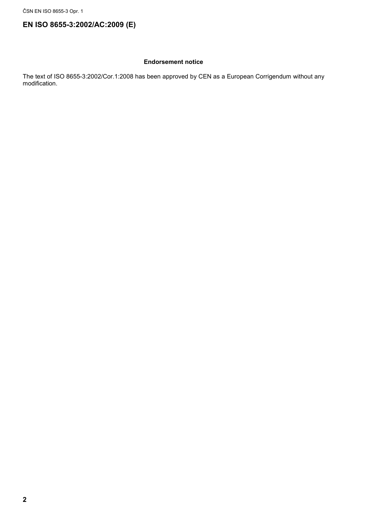ČSN EN ISO 8655-3 Opr. 1

# **EN ISO 8655-3:2002/AC:2009 (E)**

### **Endorsement notice**

The text of ISO 8655-3:2002/Cor.1:2008 has been approved by CEN as a European Corrigendum without any modification.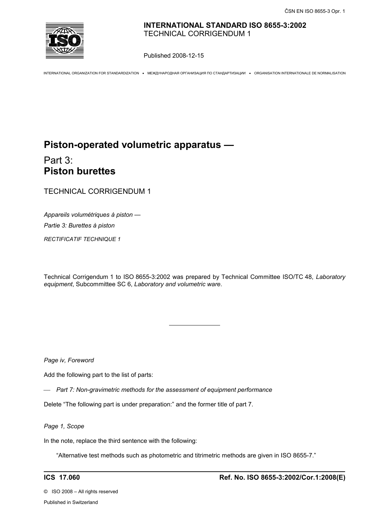

### **INTERNATIONAL STANDARD ISO 8655-3:2002**  TECHNICAL CORRIGENDUM 1

Published 2008-12-15

INTERNATIONAL ORGANIZATION FOR STANDARDIZATION • МЕЖДУНАРОДНАЯ ОРГАНИЗАЦИЯ ПО СТАНДАРТИЗАЦИИ • ORGANISATION INTERNATIONALE DE NORMALISATION

# **Piston-operated volumetric apparatus —**

# Part 3: **Piston burettes**

TECHNICAL CORRIGENDUM 1

*Appareils volumétriques à piston — Partie 3: Burettes à piston RECTIFICATIF TECHNIQUE 1*

Technical Corrigendum 1 to ISO 8655-3:2002 was prepared by Technical Committee ISO/TC 48, *Laboratory equipment*, Subcommittee SC 6, *Laboratory and volumetric ware*.

*Page iv, Foreword* 

Add the following part to the list of parts:

⎯ *Part 7: Non-gravimetric methods for the assessment of equipment performance* 

L

Delete "The following part is under preparation:" and the former title of part 7.

*Page 1, Scope* 

In the note, replace the third sentence with the following:

"Alternative test methods such as photometric and titrimetric methods are given in ISO 8655-7."

©ISO 2008 – All rights reserved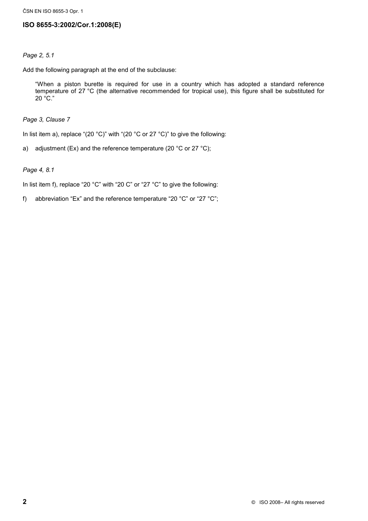### **ISO 8655-3:2002/Cor.1:2008(E)**

#### *Page 2, 5.1*

Add the following paragraph at the end of the subclause:

"When a piston burette is required for use in a country which has adopted a standard reference temperature of 27 °C (the alternative recommended for tropical use), this figure shall be substituted for 20 °C."

#### *Page 3, Clause 7*

In list item a), replace "(20 °C)" with "(20 °C or 27 °C)" to give the following:

a) adjustment (Ex) and the reference temperature (20 °C or 27 °C);

#### *Page 4, 8.1*

In list item f), replace "20 °C" with "20 C" or "27 °C" to give the following:

f) abbreviation "Ex" and the reference temperature "20 °C" or "27 °C";